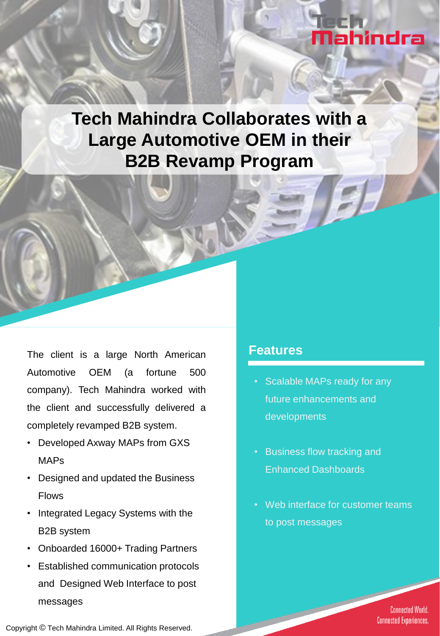# Nahindra

**Tech Mahindra Collaborates with a Large Automotive OEM in their B2B Revamp Program**

The client is a large North American Automotive OEM (a fortune 500 company). Tech Mahindra worked with the client and successfully delivered a completely revamped B2B system.

- Developed Axway MAPs from GXS MAPs
- Designed and updated the Business Flows
- Integrated Legacy Systems with the B2B system
- Onboarded 16000+ Trading Partners
- Established communication protocols and Designed Web Interface to post messages

#### **Features**

- Scalable MAPs ready for any future enhancements and developments
- Business flow tracking and Enhanced Dashboards
- Web interface for customer teams to post messages

**Connected World. Connected Experiences.** 

Copyright © Tech Mahindra Limited. All Rights Reserved.